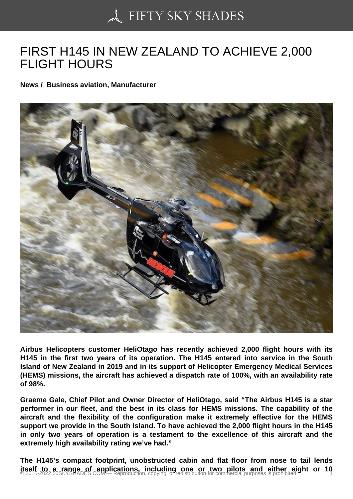## [FIRST H145 IN NEW Z](https://50skyshades.com)EALAND TO ACHIEVE 2,000 FLIGHT HOURS

News / Business aviation, Manufacturer

Airbus Helicopters customer HeliOtago has recently achieved 2,000 flight hours with its H145 in the first two years of its operation. The H145 entered into service in the South Island of New Zealand in 2019 and in its support of Helicopter Emergency Medical Services (HEMS) missions, the aircraft has achieved a dispatch rate of 100%, with an availability rate of 98%.

Graeme Gale, Chief Pilot and Owner Director of HeliOtago, said "The Airbus H145 is a star performer in our fleet, and the best in its class for HEMS missions. The capability of the aircraft and the flexibility of the configuration make it extremely effective for the HEMS support we provide in the South Island. To have achieved the 2,000 flight hours in the H145 in only two years of operation is a testament to the excellence of this aircraft and the extremely high availability rating we've had."

The H145's compact footprint, unobstructed cabin and flat floor from nose to tail lends itself to a range of applications, including one or two pilots and either eight or 10<br>© 2015-2022 50SKYSHADES.COM — Reproduction, copying, or redistribution for commercial purposes is prohibited.